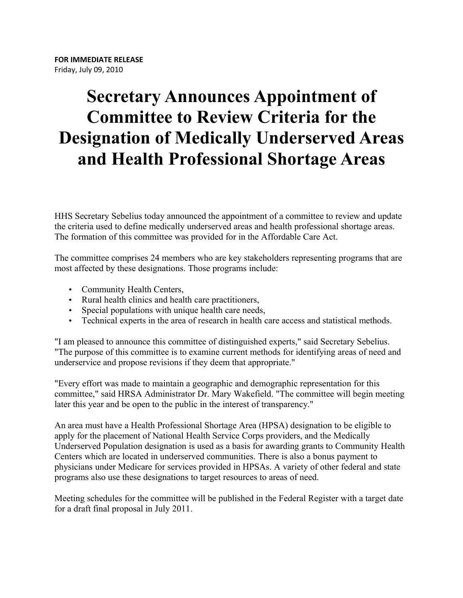## **Secretary Announces Appointment of Committee to Review Criteria for the Designation of Medically Underserved Areas and Health Professional Shortage Areas**

HHS Secretary Sebelius today announced the appointment of a committee to review and update the criteria used to define medically underserved areas and health professional shortage areas. The formation of this committee was provided for in the Affordable Care Act.

The committee comprises 24 members who are key stakeholders representing programs that are most affected by these designations. Those programs include:

- Community Health Centers,
- Rural health clinics and health care practitioners,
- Special populations with unique health care needs,
- Technical experts in the area of research in health care access and statistical methods.

"I am pleased to announce this committee of distinguished experts," said Secretary Sebelius. "The purpose of this committee is to examine current methods for identifying areas of need and underservice and propose revisions if they deem that appropriate."

"Every effort was made to maintain a geographic and demographic representation for this committee," said HRSA Administrator Dr. Mary Wakefield. "The committee will begin meeting later this year and be open to the public in the interest of transparency."

An area must have a Health Professional Shortage Area (HPSA) designation to be eligible to apply for the placement of National Health Service Corps providers, and the Medically Underserved Population designation is used as a basis for awarding grants to Community Health Centers which are located in underserved communities. There is also a bonus payment to physicians under Medicare for services provided in HPSAs. A variety of other federal and state programs also use these designations to target resources to areas of need.

Meeting schedules for the committee will be published in the Federal Register with a target date for a draft final proposal in July 2011.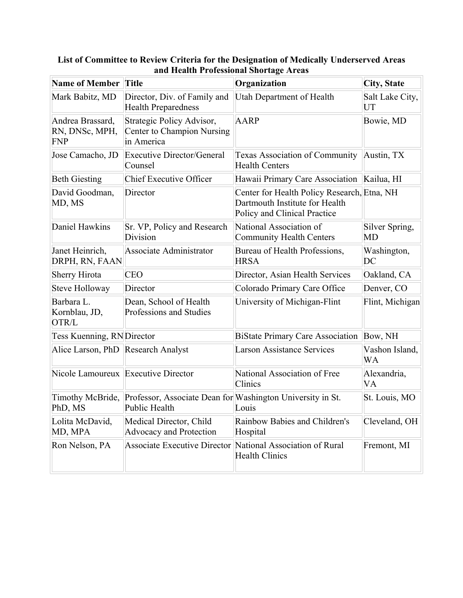| <b>Name of Member Title</b>                      |                                                                             | Organization                                                                                                  | <b>City, State</b>    |
|--------------------------------------------------|-----------------------------------------------------------------------------|---------------------------------------------------------------------------------------------------------------|-----------------------|
| Mark Babitz, MD                                  | Director, Div. of Family and<br><b>Health Preparedness</b>                  | Utah Department of Health                                                                                     | Salt Lake City,<br>UT |
| Andrea Brassard,<br>RN, DNSc, MPH,<br><b>FNP</b> | Strategic Policy Advisor,<br>Center to Champion Nursing<br>in America       | <b>AARP</b>                                                                                                   | Bowie, MD             |
| Jose Camacho, JD                                 | <b>Executive Director/General</b><br>Counsel                                | <b>Texas Association of Community</b><br><b>Health Centers</b>                                                | Austin, TX            |
| <b>Beth Giesting</b>                             | <b>Chief Executive Officer</b>                                              | Hawaii Primary Care Association Kailua, HI                                                                    |                       |
| David Goodman,<br>MD, MS                         | Director                                                                    | Center for Health Policy Research, Etna, NH<br>Dartmouth Institute for Health<br>Policy and Clinical Practice |                       |
| Daniel Hawkins                                   | Sr. VP, Policy and Research<br>Division                                     | National Association of<br><b>Community Health Centers</b>                                                    | Silver Spring,<br>MD  |
| Janet Heinrich,<br>DRPH, RN, FAAN                | Associate Administrator                                                     | Bureau of Health Professions,<br><b>HRSA</b>                                                                  | Washington,<br>DC     |
| <b>Sherry Hirota</b>                             | <b>CEO</b>                                                                  | Director, Asian Health Services                                                                               | Oakland, CA           |
| Steve Holloway                                   | Director                                                                    | Colorado Primary Care Office                                                                                  | Denver, CO            |
| Barbara L.<br>Kornblau, JD,<br>OTR/L             | Dean, School of Health<br>Professions and Studies                           | University of Michigan-Flint                                                                                  | Flint, Michigan       |
| <b>Tess Kuenning, RNDirector</b>                 |                                                                             | <b>BiState Primary Care Association</b>                                                                       | Bow, NH               |
| Alice Larson, PhD Research Analyst               |                                                                             | <b>Larson Assistance Services</b>                                                                             | Vashon Island,<br>WA  |
| Nicole Lamoureux Executive Director              |                                                                             | National Association of Free<br>Clinics                                                                       | Alexandria,<br>VA     |
| Timothy McBride,<br>PhD, MS                      | Professor, Associate Dean for Washington University in St.<br>Public Health | Louis                                                                                                         | St. Louis, MO         |
| Lolita McDavid,<br>MD, MPA                       | Medical Director, Child<br><b>Advocacy and Protection</b>                   | Rainbow Babies and Children's<br>Hospital                                                                     | Cleveland, OH         |
| Ron Nelson, PA                                   |                                                                             | Associate Executive Director National Association of Rural<br><b>Health Clinics</b>                           | Fremont, MI           |

## **List of Committee to Review Criteria for the Designation of Medically Underserved Areas and Health Professional Shortage Areas**